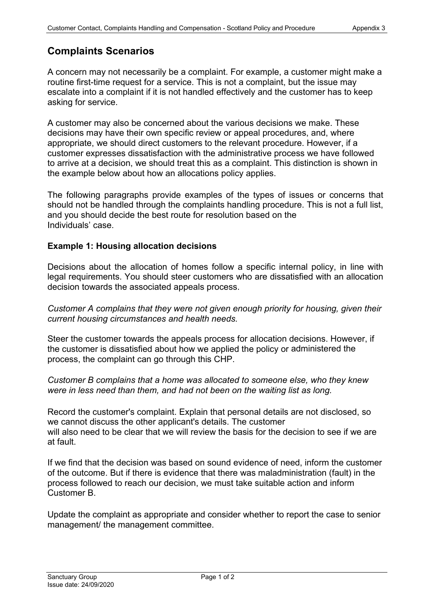# **Complaints Scenarios**

A concern may not necessarily be a complaint. For example, a customer might make a routine first-time request for a service. This is not a complaint, but the issue may escalate into a complaint if it is not handled effectively and the customer has to keep asking for service.

A customer may also be concerned about the various decisions we make. These decisions may have their own specific review or appeal procedures, and, where appropriate, we should direct customers to the relevant procedure. However, if a customer expresses dissatisfaction with the administrative process we have followed to arrive at a decision, we should treat this as a complaint. This distinction is shown in the example below about how an allocations policy applies.

The following paragraphs provide examples of the types of issues or concerns that should not be handled through the complaints handling procedure. This is not a full list, and you should decide the best route for resolution based on the Individuals' case.

## **Example 1: Housing allocation decisions**

Decisions about the allocation of homes follow a specific internal policy, in line with legal requirements. You should steer customers who are dissatisfied with an allocation decision towards the associated appeals process.

*Customer A complains that they were not given enough priority for housing, given their current housing circumstances and health needs.*

Steer the customer towards the appeals process for allocation decisions. However, if the customer is dissatisfied about how we applied the policy or administered the process, the complaint can go through this CHP.

*Customer B complains that a home was allocated to someone else, who they knew were in less need than them, and had not been on the waiting list as long.*

Record the customer's complaint. Explain that personal details are not disclosed, so we cannot discuss the other applicant's details. The customer will also need to be clear that we will review the basis for the decision to see if we are at fault.

If we find that the decision was based on sound evidence of need, inform the customer of the outcome. But if there is evidence that there was maladministration (fault) in the process followed to reach our decision, we must take suitable action and inform Customer B.

Update the complaint as appropriate and consider whether to report the case to senior management/ the management committee.